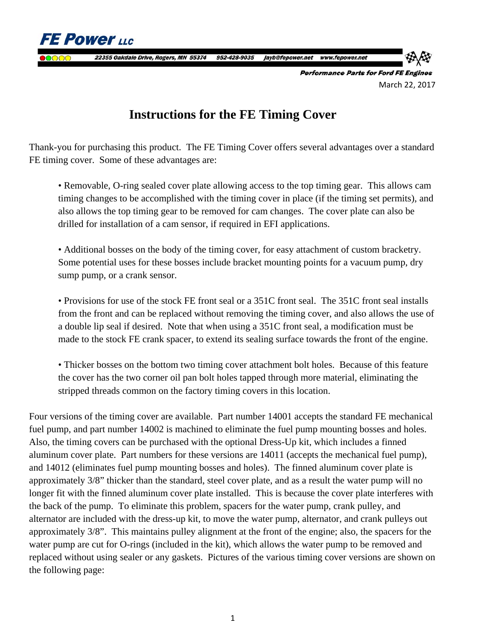**FE Power LLC** 22355 Oakdale Drive, Rogers, MN 55374 952-428-9035 jayb@fepower.net www.fepower.net **Performance Parts for Ford FE Engines** 

March 22, 2017

# **Instructions for the FE Timing Cover**

Thank-you for purchasing this product. The FE Timing Cover offers several advantages over a standard FE timing cover. Some of these advantages are:

 • Removable, O-ring sealed cover plate allowing access to the top timing gear. This allows cam timing changes to be accomplished with the timing cover in place (if the timing set permits), and also allows the top timing gear to be removed for cam changes. The cover plate can also be drilled for installation of a cam sensor, if required in EFI applications.

• Additional bosses on the body of the timing cover, for easy attachment of custom bracketry. Some potential uses for these bosses include bracket mounting points for a vacuum pump, dry sump pump, or a crank sensor.

• Provisions for use of the stock FE front seal or a 351C front seal. The 351C front seal installs from the front and can be replaced without removing the timing cover, and also allows the use of a double lip seal if desired. Note that when using a 351C front seal, a modification must be made to the stock FE crank spacer, to extend its sealing surface towards the front of the engine.

• Thicker bosses on the bottom two timing cover attachment bolt holes. Because of this feature the cover has the two corner oil pan bolt holes tapped through more material, eliminating the stripped threads common on the factory timing covers in this location.

Four versions of the timing cover are available. Part number 14001 accepts the standard FE mechanical fuel pump, and part number 14002 is machined to eliminate the fuel pump mounting bosses and holes. Also, the timing covers can be purchased with the optional Dress-Up kit, which includes a finned aluminum cover plate. Part numbers for these versions are 14011 (accepts the mechanical fuel pump), and 14012 (eliminates fuel pump mounting bosses and holes). The finned aluminum cover plate is approximately 3/8" thicker than the standard, steel cover plate, and as a result the water pump will no longer fit with the finned aluminum cover plate installed. This is because the cover plate interferes with the back of the pump. To eliminate this problem, spacers for the water pump, crank pulley, and alternator are included with the dress-up kit, to move the water pump, alternator, and crank pulleys out approximately 3/8". This maintains pulley alignment at the front of the engine; also, the spacers for the water pump are cut for O-rings (included in the kit), which allows the water pump to be removed and replaced without using sealer or any gaskets. Pictures of the various timing cover versions are shown on the following page: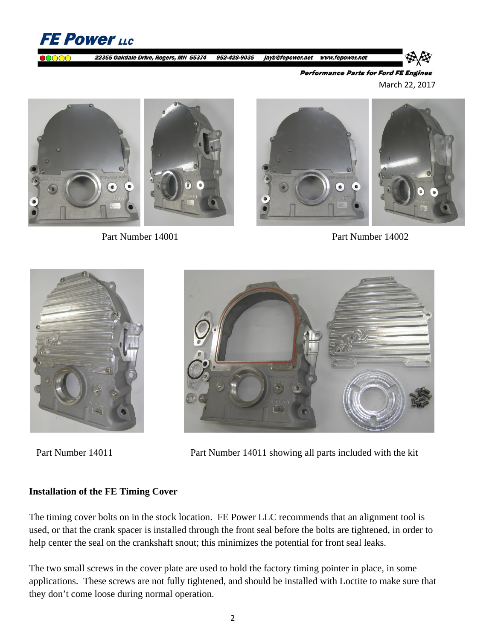

**Performance Parts for Ford FE Engines** March 22, 2017





Part Number 14001 Part Number 14002





Part Number 14011 Part Number 14011 showing all parts included with the kit

## **Installation of the FE Timing Cover**

The timing cover bolts on in the stock location. FE Power LLC recommends that an alignment tool is used, or that the crank spacer is installed through the front seal before the bolts are tightened, in order to help center the seal on the crankshaft snout; this minimizes the potential for front seal leaks.

The two small screws in the cover plate are used to hold the factory timing pointer in place, in some applications. These screws are not fully tightened, and should be installed with Loctite to make sure that they don't come loose during normal operation.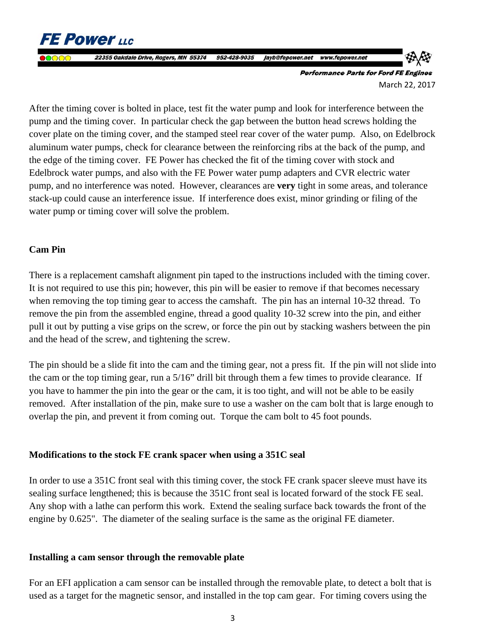**FE Power LLC** 22355 Oakdale Drive, Rogers, MN 55374 952-428-9035 jayb@fepower.net www.fepower.net **Performance Parts for Ford FE Engines** 

March 22, 2017

After the timing cover is bolted in place, test fit the water pump and look for interference between the pump and the timing cover. In particular check the gap between the button head screws holding the cover plate on the timing cover, and the stamped steel rear cover of the water pump. Also, on Edelbrock aluminum water pumps, check for clearance between the reinforcing ribs at the back of the pump, and the edge of the timing cover. FE Power has checked the fit of the timing cover with stock and Edelbrock water pumps, and also with the FE Power water pump adapters and CVR electric water pump, and no interference was noted. However, clearances are **very** tight in some areas, and tolerance stack-up could cause an interference issue. If interference does exist, minor grinding or filing of the water pump or timing cover will solve the problem.

### **Cam Pin**

There is a replacement camshaft alignment pin taped to the instructions included with the timing cover. It is not required to use this pin; however, this pin will be easier to remove if that becomes necessary when removing the top timing gear to access the camshaft. The pin has an internal 10-32 thread. To remove the pin from the assembled engine, thread a good quality 10-32 screw into the pin, and either pull it out by putting a vise grips on the screw, or force the pin out by stacking washers between the pin and the head of the screw, and tightening the screw.

The pin should be a slide fit into the cam and the timing gear, not a press fit. If the pin will not slide into the cam or the top timing gear, run a 5/16" drill bit through them a few times to provide clearance. If you have to hammer the pin into the gear or the cam, it is too tight, and will not be able to be easily removed. After installation of the pin, make sure to use a washer on the cam bolt that is large enough to overlap the pin, and prevent it from coming out. Torque the cam bolt to 45 foot pounds.

#### **Modifications to the stock FE crank spacer when using a 351C seal**

In order to use a 351C front seal with this timing cover, the stock FE crank spacer sleeve must have its sealing surface lengthened; this is because the 351C front seal is located forward of the stock FE seal. Any shop with a lathe can perform this work. Extend the sealing surface back towards the front of the engine by 0.625". The diameter of the sealing surface is the same as the original FE diameter.

#### **Installing a cam sensor through the removable plate**

For an EFI application a cam sensor can be installed through the removable plate, to detect a bolt that is used as a target for the magnetic sensor, and installed in the top cam gear. For timing covers using the